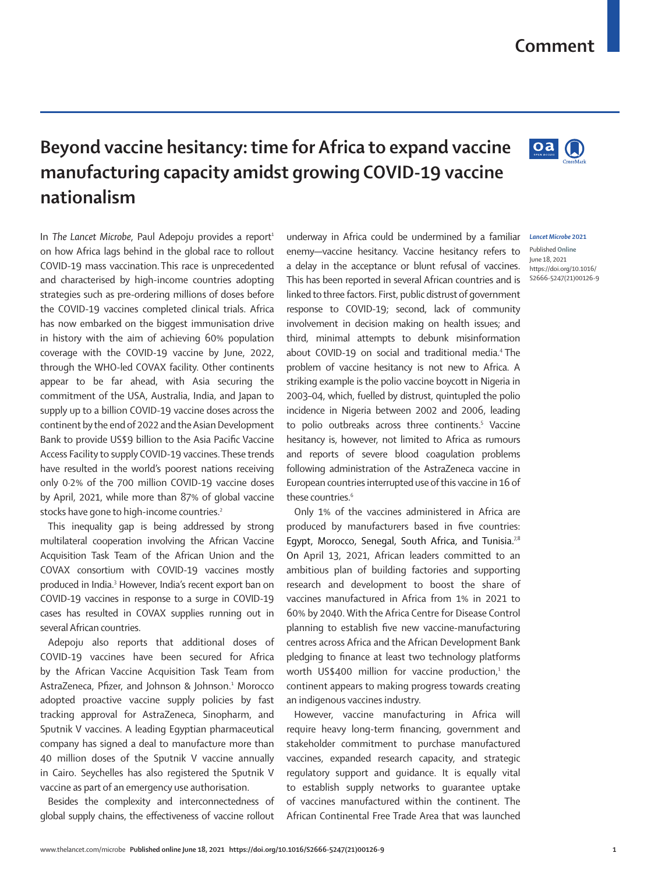## **Comment**

## **Beyond vaccine hesitancy: time for Africa to expand vaccine manufacturing capacity amidst growing COVID-19 vaccine nationalism**

In *The Lancet Microbe*, Paul Adepoju provides a report<sup>1</sup> on how Africa lags behind in the global race to rollout COVID-19 mass vaccination.This race is unprecedented and characterised by high-income countries adopting strategies such as pre-ordering millions of doses before the COVID-19 vaccines completed clinical trials. Africa has now embarked on the biggest immunisation drive in history with the aim of achieving 60% population coverage with the COVID-19 vaccine by June, 2022, through the WHO-led COVAX facility. Other continents appear to be far ahead, with Asia securing the commitment of the USA, Australia, India, and Japan to supply up to a billion COVID-19 vaccine doses across the continent by the end of 2022 and the Asian Development Bank to provide US\$9 billion to the Asia Pacific Vaccine Access Facility to supply COVID-19 vaccines. These trends have resulted in the world's poorest nations receiving only 0·2% of the 700 million COVID-19 vaccine doses by April, 2021, while more than 87% of global vaccine stocks have gone to high-income countries.<sup>2</sup>

This inequality gap is being addressed by strong multilateral cooperation involving the African Vaccine Acquisition Task Team of the African Union and the COVAX consortium with COVID-19 vaccines mostly produced in India.3 However, India's recent export ban on COVID-19 vaccines in response to a surge in COVID-19 cases has resulted in COVAX supplies running out in several African countries.

Adepoju also reports that additional doses of COVID-19 vaccines have been secured for Africa by the African Vaccine Acquisition Task Team from AstraZeneca, Pfizer, and Johnson & Johnson.<sup>1</sup> Morocco adopted proactive vaccine supply policies by fast tracking approval for AstraZeneca, Sinopharm, and Sputnik V vaccines. A leading Egyptian pharmaceutical company has signed a deal to manufacture more than 40 million doses of the Sputnik V vaccine annually in Cairo. Seychelles has also registered the Sputnik V vaccine as part of an emergency use authorisation.

Besides the complexity and interconnectedness of global supply chains, the effectiveness of vaccine rollout underway in Africa could be undermined by a familiar enemy—vaccine hesitancy. Vaccine hesitancy refers to a delay in the acceptance or blunt refusal of vaccines. This has been reported in several African countries and is linked to three factors. First, public distrust of government response to COVID-19; second, lack of community involvement in decision making on health issues; and third, minimal attempts to debunk misinformation about COVID-19 on social and traditional media.<sup>4</sup> The problem of vaccine hesitancy is not new to Africa. A striking example is the polio vaccine boycott in Nigeria in 2003–04, which, fuelled by distrust, quintupled the polio incidence in Nigeria between 2002 and 2006, leading to polio outbreaks across three continents.<sup>5</sup> Vaccine hesitancy is, however, not limited to Africa as rumours and reports of severe blood coagulation problems following administration of the AstraZeneca vaccine in European countries interrupted use of this vaccine in 16 of these countries.<sup>6</sup>

Only 1% of the vaccines administered in Africa are produced by manufacturers based in five countries: Egypt, Morocco, Senegal, South Africa, and Tunisia.<sup>78</sup> On April 13, 2021, African leaders committed to an ambitious plan of building factories and supporting research and development to boost the share of vaccines manufactured in Africa from 1% in 2021 to 60% by 2040. With the Africa Centre for Disease Control planning to establish five new vaccine-manufacturing centres across Africa and the African Development Bank pledging to finance at least two technology platforms worth US\$400 million for vaccine production, $1$  the continent appears to making progress towards creating an indigenous vaccines industry.

However, vaccine manufacturing in Africa will require heavy long-term financing, government and stakeholder commitment to purchase manufactured vaccines, expanded research capacity, and strategic regulatory support and guidance. It is equally vital to establish supply networks to guarantee uptake of vaccines manufactured within the continent. The African Continental Free Trade Area that was launched



## *Lancet Microbe* **2021**

Published **Online** June 18, 2021 https://doi.org/10.1016/ S2666-5247(21)00126-9